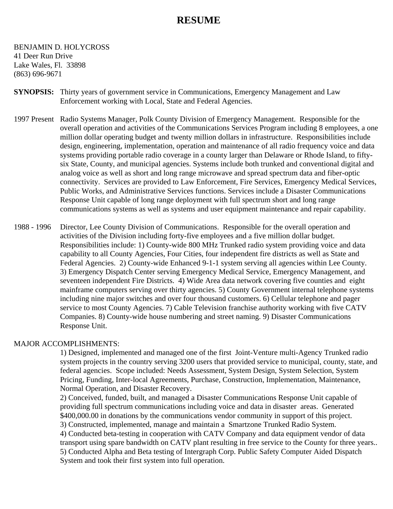# **RESUME**

### BENJAMIN D. HOLYCROSS 41 Deer Run Drive Lake Wales, Fl. 33898 (863) 696-9671

- **SYNOPSIS:** Thirty years of government service in Communications, Emergency Management and Law Enforcement working with Local, State and Federal Agencies.
- 1997 Present Radio Systems Manager, Polk County Division of Emergency Management. Responsible for the overall operation and activities of the Communications Services Program including 8 employees, a one million dollar operating budget and twenty million dollars in infrastructure. Responsibilities include design, engineering, implementation, operation and maintenance of all radio frequency voice and data systems providing portable radio coverage in a county larger than Delaware or Rhode Island, to fiftysix State, County, and municipal agencies. Systems include both trunked and conventional digital and analog voice as well as short and long range microwave and spread spectrum data and fiber-optic connectivity. Services are provided to Law Enforcement, Fire Services, Emergency Medical Services, Public Works, and Administrative Services functions. Services include a Disaster Communications Response Unit capable of long range deployment with full spectrum short and long range communications systems as well as systems and user equipment maintenance and repair capability.
- 1988 1996 Director, Lee County Division of Communications. Responsible for the overall operation and activities of the Division including forty-five employees and a five million dollar budget. Responsibilities include: 1) County-wide 800 MHz Trunked radio system providing voice and data capability to all County Agencies, Four Cities, four independent fire districts as well as State and Federal Agencies. 2) County-wide Enhanced 9-1-1 system serving all agencies within Lee County. 3) Emergency Dispatch Center serving Emergency Medical Service, Emergency Management, and seventeen independent Fire Districts. 4) Wide Area data network covering five counties and eight mainframe computers serving over thirty agencies. 5) County Government internal telephone systems including nine major switches and over four thousand customers. 6) Cellular telephone and pager service to most County Agencies. 7) Cable Television franchise authority working with five CATV Companies. 8) County-wide house numbering and street naming. 9) Disaster Communications Response Unit.

### MAJOR ACCOMPLISHMENTS:

1) Designed, implemented and managed one of the first Joint-Venture multi-Agency Trunked radio system projects in the country serving 3200 users that provided service to municipal, county, state, and federal agencies. Scope included: Needs Assessment, System Design, System Selection, System Pricing, Funding, Inter-local Agreements, Purchase, Construction, Implementation, Maintenance, Normal Operation, and Disaster Recovery.

2) Conceived, funded, built, and managed a Disaster Communications Response Unit capable of providing full spectrum communications including voice and data in disaster areas. Generated \$400,000.00 in donations by the communications vendor community in support of this project. 3) Constructed, implemented, manage and maintain a Smartzone Trunked Radio System. 4) Conducted beta-testing in cooperation with CATV Company and data equipment vendor of data transport using spare bandwidth on CATV plant resulting in free service to the County for three years.. 5) Conducted Alpha and Beta testing of Intergraph Corp. Public Safety Computer Aided Dispatch System and took their first system into full operation.